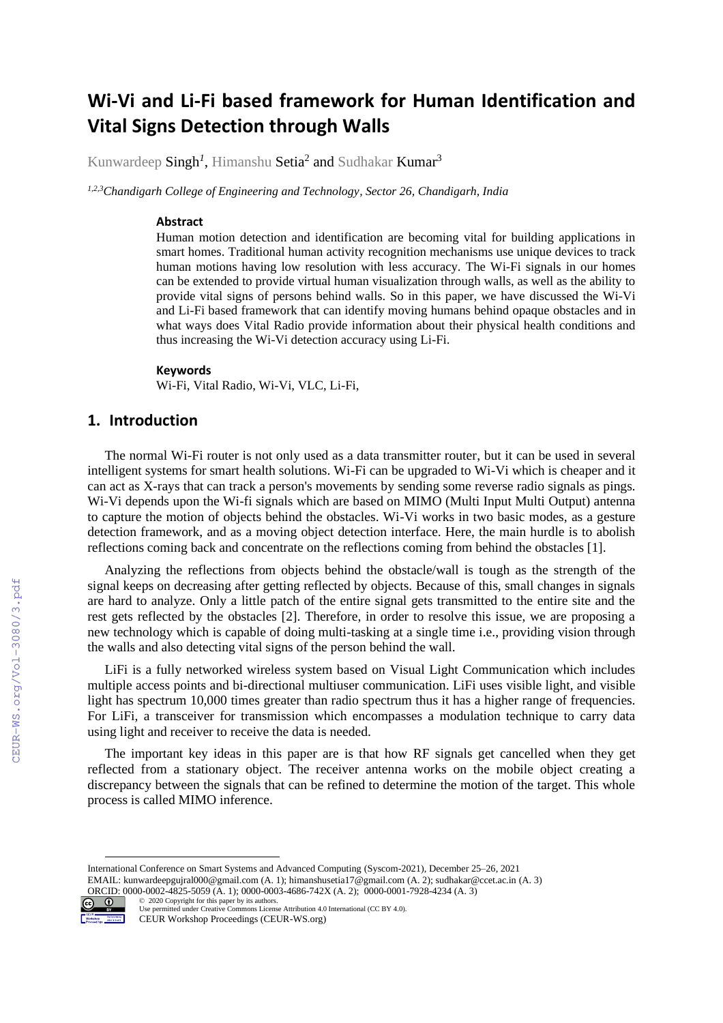# **Wi-Vi and Li-Fi based framework for Human Identification and Vital Signs Detection through Walls**

Kunwardeep  $\mathrm{Singh}^I,$  Himanshu  $\mathrm{Setia}^2$  and  $\mathrm{Sublakar}\,\mathrm{Kumar}^3$ 

*1,2,3Chandigarh College of Engineering and Technology, Sector 26, Chandigarh, India*

#### **Abstract**

Human motion detection and identification are becoming vital for building applications in smart homes. Traditional human activity recognition mechanisms use unique devices to track human motions having low resolution with less accuracy. The Wi-Fi signals in our homes can be extended to provide virtual human visualization through walls, as well as the ability to provide vital signs of persons behind walls. So in this paper, we have discussed the Wi-Vi and Li-Fi based framework that can identify moving humans behind opaque obstacles and in what ways does Vital Radio provide information about their physical health conditions and thus increasing the Wi-Vi detection accuracy using Li-Fi.

#### **Keywords 1**

Wi-Fi, Vital Radio, Wi-Vi, VLC, Li-Fi,

# **1. Introduction**

The normal Wi-Fi router is not only used as a data transmitter router, but it can be used in several intelligent systems for smart health solutions. Wi-Fi can be upgraded to Wi-Vi which is cheaper and it can act as X-rays that can track a person's movements by sending some reverse radio signals as pings. Wi-Vi depends upon the Wi-fi signals which are based on MIMO (Multi Input Multi Output) antenna to capture the motion of objects behind the obstacles. Wi-Vi works in two basic modes, as a gesture detection framework, and as a moving object detection interface. Here, the main hurdle is to abolish reflections coming back and concentrate on the reflections coming from behind the obstacles [1].

Analyzing the reflections from objects behind the obstacle/wall is tough as the strength of the signal keeps on decreasing after getting reflected by objects. Because of this, small changes in signals are hard to analyze. Only a little patch of the entire signal gets transmitted to the entire site and the rest gets reflected by the obstacles [2]. Therefore, in order to resolve this issue, we are proposing a new technology which is capable of doing multi-tasking at a single time i.e., providing vision through the walls and also detecting vital signs of the person behind the wall.

LiFi is a fully networked wireless system based on Visual Light Communication which includes multiple access points and bi-directional multiuser communication. LiFi uses visible light, and visible light has spectrum 10,000 times greater than radio spectrum thus it has a higher range of frequencies. For LiFi, a transceiver for transmission which encompasses a modulation technique to carry data using light and receiver to receive the data is needed.

The important key ideas in this paper are is that how RF signals get cancelled when they get reflected from a stationary object. The receiver antenna works on the mobile object creating a discrepancy between the signals that can be refined to determine the motion of the target. This whole process is called MIMO inference.

ORCID: 0000-0002-4825-5059 (A. 1); 0000-0003-4686-742X (A. 2); 0000-0001-7928-4234 (A. 3) ©️ 2020 Copyright for this paper by its authors.



Use permitted under Creative Commons License Attribution 4.0 International (CC BY 4.0). CEUR Workshop Proceedings (CEUR-WS.org)

International Conference on Smart Systems and Advanced Computing (Syscom-2021), December 25–26, 2021 EMAIL: kunwardeepgujral000@gmail.com (A. 1); himanshusetia17@gmail.com (A. 2); sudhakar@ccet.ac.in (A. 3)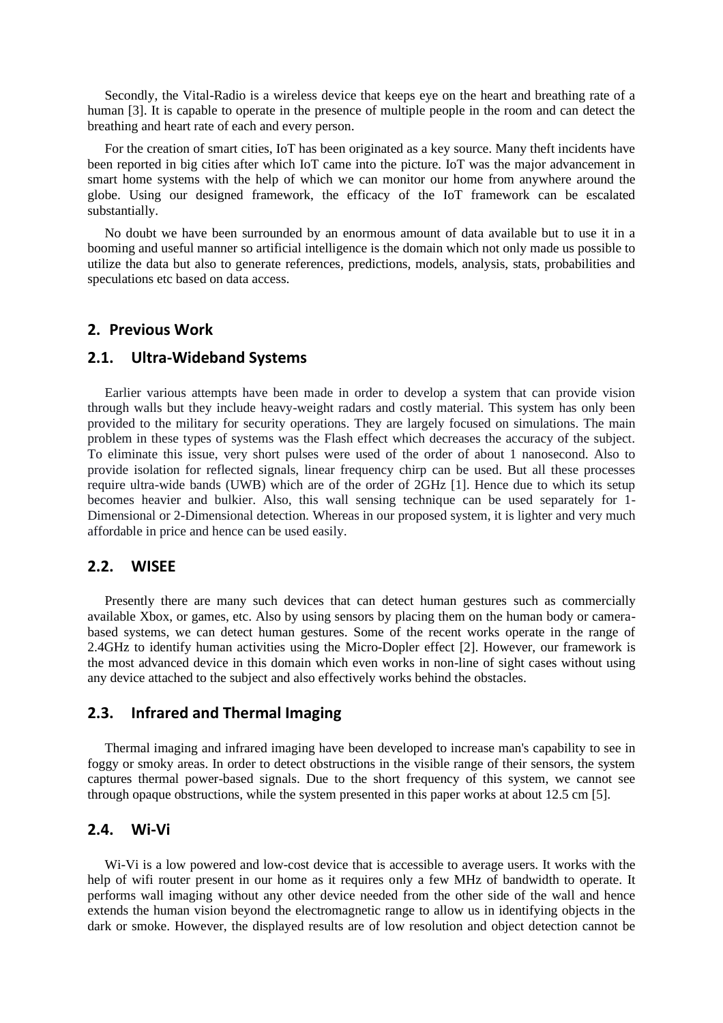Secondly, the Vital-Radio is a wireless device that keeps eye on the heart and breathing rate of a human [3]. It is capable to operate in the presence of multiple people in the room and can detect the breathing and heart rate of each and every person.

For the creation of smart cities, IoT has been originated as a key source. Many theft incidents have been reported in big cities after which IoT came into the picture. IoT was the major advancement in smart home systems with the help of which we can monitor our home from anywhere around the globe. Using our designed framework, the efficacy of the IoT framework can be escalated substantially.

No doubt we have been surrounded by an enormous amount of data available but to use it in a booming and useful manner so artificial intelligence is the domain which not only made us possible to utilize the data but also to generate references, predictions, models, analysis, stats, probabilities and speculations etc based on data access.

#### **2. Previous Work**

#### **2.1. Ultra-Wideband Systems**

Earlier various attempts have been made in order to develop a system that can provide vision through walls but they include heavy-weight radars and costly material. This system has only been provided to the military for security operations. They are largely focused on simulations. The main problem in these types of systems was the Flash effect which decreases the accuracy of the subject. To eliminate this issue, very short pulses were used of the order of about 1 nanosecond. Also to provide isolation for reflected signals, linear frequency chirp can be used. But all these processes require ultra-wide bands (UWB) which are of the order of 2GHz [1]. Hence due to which its setup becomes heavier and bulkier. Also, this wall sensing technique can be used separately for 1- Dimensional or 2-Dimensional detection. Whereas in our proposed system, it is lighter and very much affordable in price and hence can be used easily.

# **2.2. WISEE**

Presently there are many such devices that can detect human gestures such as commercially available Xbox, or games, etc. Also by using sensors by placing them on the human body or camerabased systems, we can detect human gestures. Some of the recent works operate in the range of 2.4GHz to identify human activities using the Micro-Dopler effect [2]. However, our framework is the most advanced device in this domain which even works in non-line of sight cases without using any device attached to the subject and also effectively works behind the obstacles.

### **2.3. Infrared and Thermal Imaging**

Thermal imaging and infrared imaging have been developed to increase man's capability to see in foggy or smoky areas. In order to detect obstructions in the visible range of their sensors, the system captures thermal power-based signals. Due to the short frequency of this system, we cannot see through opaque obstructions, while the system presented in this paper works at about 12.5 cm [5].

# **2.4. Wi-Vi**

Wi-Vi is a low powered and low-cost device that is accessible to average users. It works with the help of wifi router present in our home as it requires only a few MHz of bandwidth to operate. It performs wall imaging without any other device needed from the other side of the wall and hence extends the human vision beyond the electromagnetic range to allow us in identifying objects in the dark or smoke. However, the displayed results are of low resolution and object detection cannot be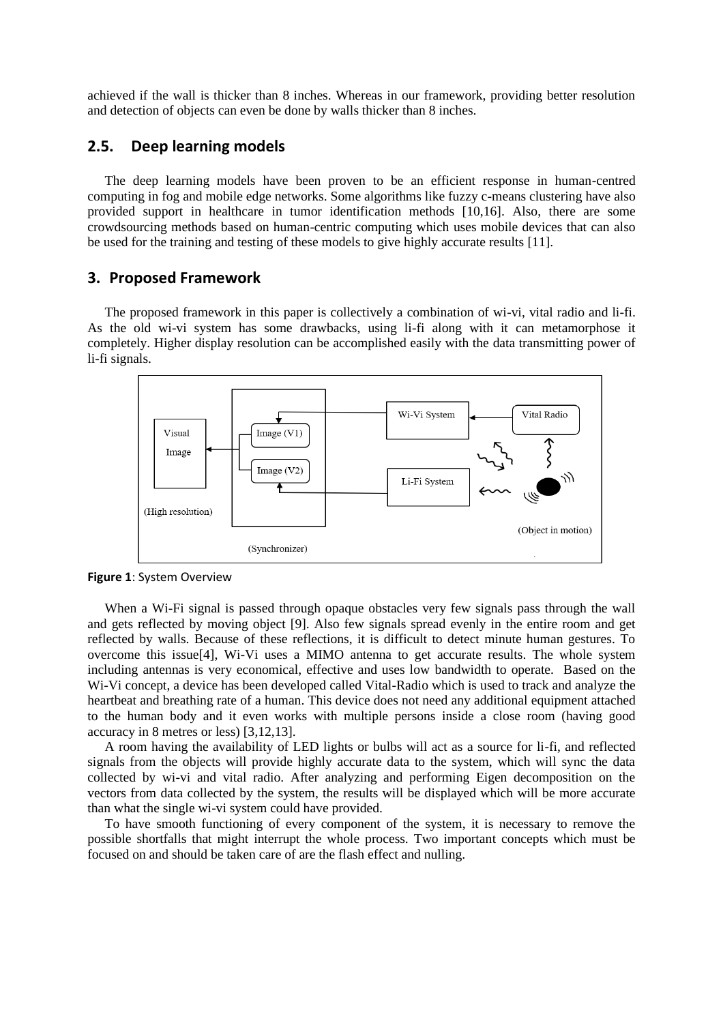achieved if the wall is thicker than 8 inches. Whereas in our framework, providing better resolution and detection of objects can even be done by walls thicker than 8 inches.

### **2.5. Deep learning models**

The deep learning models have been proven to be an efficient response in human-centred computing in fog and mobile edge networks. Some algorithms like fuzzy c-means clustering have also provided support in healthcare in tumor identification methods [10,16]. Also, there are some crowdsourcing methods based on human-centric computing which uses mobile devices that can also be used for the training and testing of these models to give highly accurate results [11].

#### **3. Proposed Framework**

The proposed framework in this paper is collectively a combination of wi-vi, vital radio and li-fi. As the old wi-vi system has some drawbacks, using li-fi along with it can metamorphose it completely. Higher display resolution can be accomplished easily with the data transmitting power of li-fi signals.



**Figure 1**: System Overview

When a Wi-Fi signal is passed through opaque obstacles very few signals pass through the wall and gets reflected by moving object [9]. Also few signals spread evenly in the entire room and get reflected by walls. Because of these reflections, it is difficult to detect minute human gestures. To overcome this issue[4], Wi-Vi uses a MIMO antenna to get accurate results. The whole system including antennas is very economical, effective and uses low bandwidth to operate. Based on the Wi-Vi concept, a device has been developed called Vital-Radio which is used to track and analyze the heartbeat and breathing rate of a human. This device does not need any additional equipment attached to the human body and it even works with multiple persons inside a close room (having good accuracy in 8 metres or less) [3,12,13].

A room having the availability of LED lights or bulbs will act as a source for li-fi, and reflected signals from the objects will provide highly accurate data to the system, which will sync the data collected by wi-vi and vital radio. After analyzing and performing Eigen decomposition on the vectors from data collected by the system, the results will be displayed which will be more accurate than what the single wi-vi system could have provided.

To have smooth functioning of every component of the system, it is necessary to remove the possible shortfalls that might interrupt the whole process. Two important concepts which must be focused on and should be taken care of are the flash effect and nulling.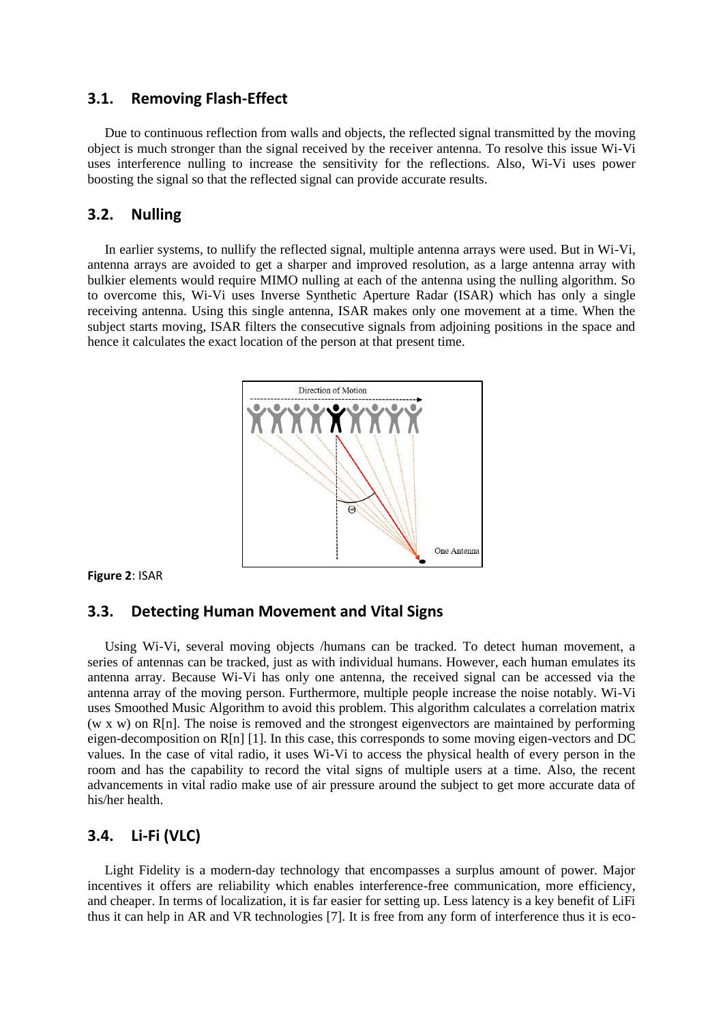# **3.1. Removing Flash-Effect**

Due to continuous reflection from walls and objects, the reflected signal transmitted by the moving object is much stronger than the signal received by the receiver antenna. To resolve this issue Wi-Vi uses interference nulling to increase the sensitivity for the reflections. Also, Wi-Vi uses power boosting the signal so that the reflected signal can provide accurate results.

# **3.2. Nulling**

In earlier systems, to nullify the reflected signal, multiple antenna arrays were used. But in Wi-Vi, antenna arrays are avoided to get a sharper and improved resolution, as a large antenna array with bulkier elements would require MIMO nulling at each of the antenna using the nulling algorithm. So to overcome this, Wi-Vi uses Inverse Synthetic Aperture Radar (ISAR) which has only a single receiving antenna. Using this single antenna, ISAR makes only one movement at a time. When the subject starts moving, ISAR filters the consecutive signals from adjoining positions in the space and hence it calculates the exact location of the person at that present time.



**Figure 2**: ISAR

#### **3.3. Detecting Human Movement and Vital Signs**

Using Wi-Vi, several moving objects /humans can be tracked. To detect human movement, a series of antennas can be tracked, just as with individual humans. However, each human emulates its antenna array. Because Wi-Vi has only one antenna, the received signal can be accessed via the antenna array of the moving person. Furthermore, multiple people increase the noise notably. Wi-Vi uses Smoothed Music Algorithm to avoid this problem. This algorithm calculates a correlation matrix (w x w) on R[n]. The noise is removed and the strongest eigenvectors are maintained by performing eigen-decomposition on R[n] [1]. In this case, this corresponds to some moving eigen-vectors and DC values. In the case of vital radio, it uses Wi-Vi to access the physical health of every person in the room and has the capability to record the vital signs of multiple users at a time. Also, the recent advancements in vital radio make use of air pressure around the subject to get more accurate data of his/her health.

# **3.4. Li-Fi (VLC)**

Light Fidelity is a modern-day technology that encompasses a surplus amount of power. Major incentives it offers are reliability which enables interference-free communication, more efficiency, and cheaper. In terms of localization, it is far easier for setting up. Less latency is a key benefit of LiFi thus it can help in AR and VR technologies [7]. It is free from any form of interference thus it is eco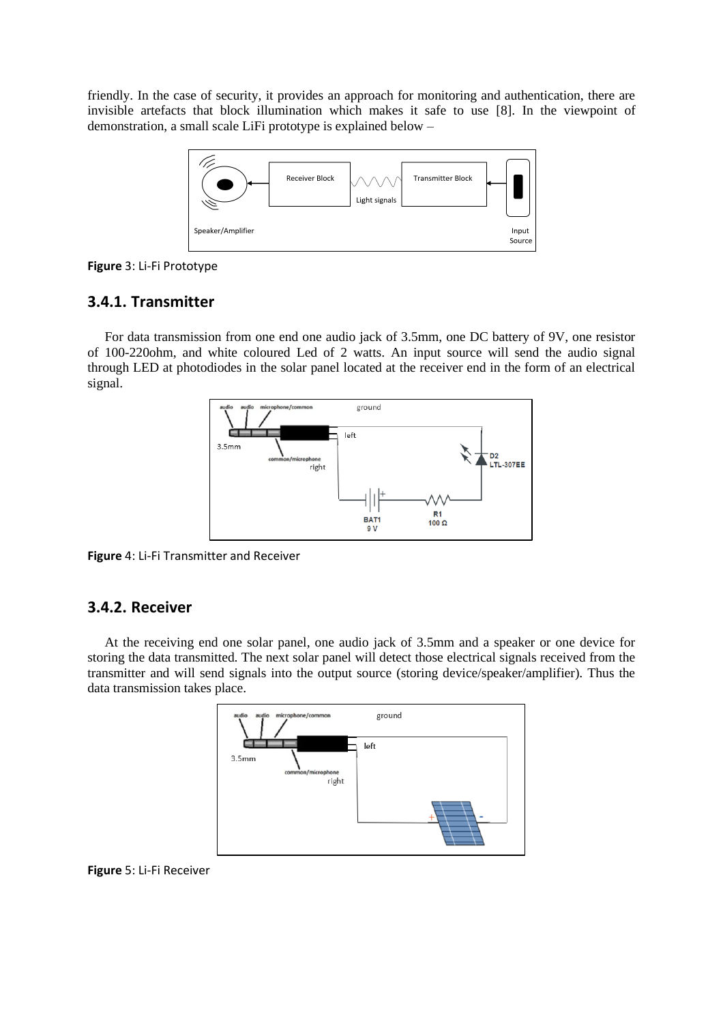friendly. In the case of security, it provides an approach for monitoring and authentication, there are invisible artefacts that block illumination which makes it safe to use [8]. In the viewpoint of demonstration, a small scale LiFi prototype is explained below –



**Figure** 3: Li-Fi Prototype

# **3.4.1. Transmitter**

For data transmission from one end one audio jack of 3.5mm, one DC battery of 9V, one resistor of 100-220ohm, and white coloured Led of 2 watts. An input source will send the audio signal through LED at photodiodes in the solar panel located at the receiver end in the form of an electrical signal.



**Figure** 4: Li-Fi Transmitter and Receiver

# **3.4.2. Receiver**

At the receiving end one solar panel, one audio jack of 3.5mm and a speaker or one device for storing the data transmitted. The next solar panel will detect those electrical signals received from the transmitter and will send signals into the output source (storing device/speaker/amplifier). Thus the data transmission takes place.



**Figure** 5: Li-Fi Receiver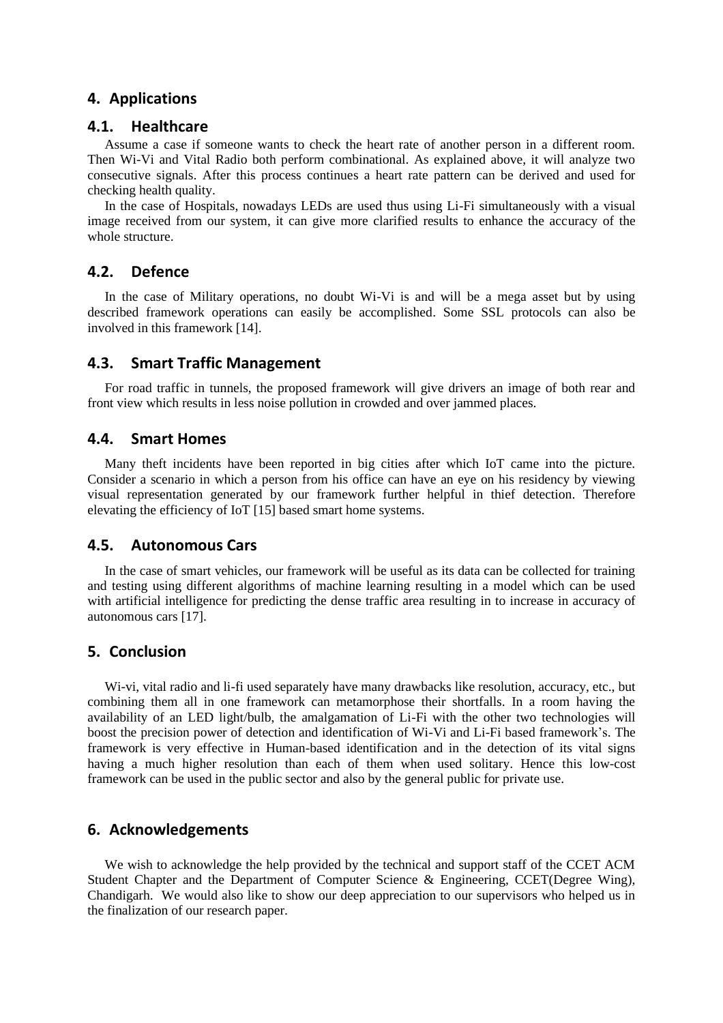# **4. Applications**

#### **4.1. Healthcare**

Assume a case if someone wants to check the heart rate of another person in a different room. Then Wi-Vi and Vital Radio both perform combinational. As explained above, it will analyze two consecutive signals. After this process continues a heart rate pattern can be derived and used for checking health quality.

In the case of Hospitals, nowadays LEDs are used thus using Li-Fi simultaneously with a visual image received from our system, it can give more clarified results to enhance the accuracy of the whole structure.

#### **4.2. Defence**

In the case of Military operations, no doubt Wi-Vi is and will be a mega asset but by using described framework operations can easily be accomplished. Some SSL protocols can also be involved in this framework [14].

#### **4.3. Smart Traffic Management**

For road traffic in tunnels, the proposed framework will give drivers an image of both rear and front view which results in less noise pollution in crowded and over jammed places.

#### **4.4. Smart Homes**

Many theft incidents have been reported in big cities after which IoT came into the picture. Consider a scenario in which a person from his office can have an eye on his residency by viewing visual representation generated by our framework further helpful in thief detection. Therefore elevating the efficiency of IoT [15] based smart home systems.

#### **4.5. Autonomous Cars**

In the case of smart vehicles, our framework will be useful as its data can be collected for training and testing using different algorithms of machine learning resulting in a model which can be used with artificial intelligence for predicting the dense traffic area resulting in to increase in accuracy of autonomous cars [17].

# **5. Conclusion**

Wi-vi, vital radio and li-fi used separately have many drawbacks like resolution, accuracy, etc., but combining them all in one framework can metamorphose their shortfalls. In a room having the availability of an LED light/bulb, the amalgamation of Li-Fi with the other two technologies will boost the precision power of detection and identification of Wi-Vi and Li-Fi based framework's. The framework is very effective in Human-based identification and in the detection of its vital signs having a much higher resolution than each of them when used solitary. Hence this low-cost framework can be used in the public sector and also by the general public for private use.

# **6. Acknowledgements**

We wish to acknowledge the help provided by the technical and support staff of the CCET ACM Student Chapter and the Department of Computer Science & Engineering, CCET(Degree Wing), Chandigarh. We would also like to show our deep appreciation to our supervisors who helped us in the finalization of our research paper.